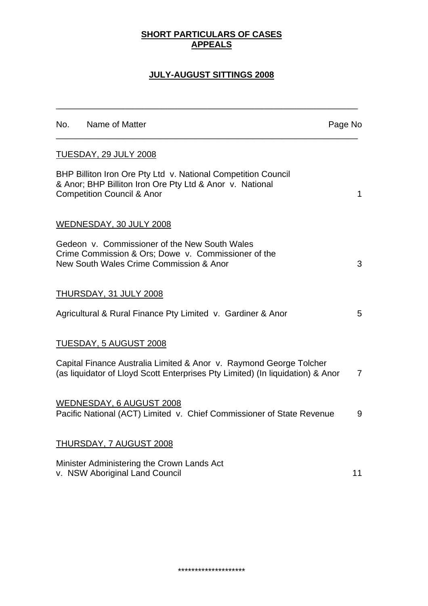## **SHORT PARTICULARS OF CASES APPEALS**

# **JULY-AUGUST SITTINGS 2008**

\_\_\_\_\_\_\_\_\_\_\_\_\_\_\_\_\_\_\_\_\_\_\_\_\_\_\_\_\_\_\_\_\_\_\_\_\_\_\_\_\_\_\_\_\_\_\_\_\_\_\_\_\_\_\_\_\_\_\_\_\_\_\_

| No. Name of Matter                                                                                                                                                 | Page No        |
|--------------------------------------------------------------------------------------------------------------------------------------------------------------------|----------------|
| <b>TUESDAY, 29 JULY 2008</b>                                                                                                                                       |                |
| BHP Billiton Iron Ore Pty Ltd v. National Competition Council<br>& Anor; BHP Billiton Iron Ore Pty Ltd & Anor v. National<br><b>Competition Council &amp; Anor</b> | 1              |
| WEDNESDAY, 30 JULY 2008                                                                                                                                            |                |
| Gedeon v. Commissioner of the New South Wales<br>Crime Commission & Ors; Dowe v. Commissioner of the<br>New South Wales Crime Commission & Anor                    | 3              |
| THURSDAY, 31 JULY 2008                                                                                                                                             |                |
| Agricultural & Rural Finance Pty Limited v. Gardiner & Anor                                                                                                        | 5              |
| <u>TUESDAY, 5 AUGUST 2008</u>                                                                                                                                      |                |
| Capital Finance Australia Limited & Anor v. Raymond George Tolcher<br>(as liquidator of Lloyd Scott Enterprises Pty Limited) (In liquidation) & Anor               | $\overline{7}$ |
| WEDNESDAY, 6 AUGUST 2008<br>Pacific National (ACT) Limited v. Chief Commissioner of State Revenue                                                                  | 9              |
| <b>THURSDAY, 7 AUGUST 2008</b>                                                                                                                                     |                |
| Minister Administering the Crown Lands Act<br>v. NSW Aboriginal Land Council                                                                                       | 11             |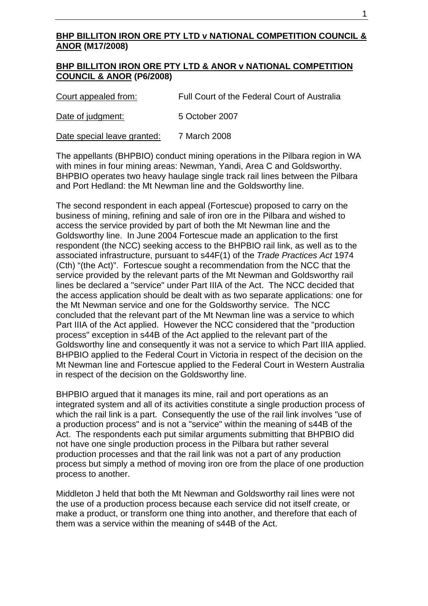## **BHP BILLITON IRON ORE PTY LTD v NATIONAL COMPETITION COUNCIL & ANOR (M17/2008)**

#### **BHP BILLITON IRON ORE PTY LTD & ANOR v NATIONAL COMPETITION COUNCIL & ANOR (P6/2008)**

Court appealed from:Full Court of the Federal Court of Australia

Date of judgment:5 October 2007

Date special leave granted: 7 March 2008

The appellants (BHPBIO) conduct mining operations in the Pilbara region in WA with mines in four mining areas: Newman, Yandi, Area C and Goldsworthy. BHPBIO operates two heavy haulage single track rail lines between the Pilbara and Port Hedland: the Mt Newman line and the Goldsworthy line.

The second respondent in each appeal (Fortescue) proposed to carry on the business of mining, refining and sale of iron ore in the Pilbara and wished to access the service provided by part of both the Mt Newman line and the Goldsworthy line. In June 2004 Fortescue made an application to the first respondent (the NCC) seeking access to the BHPBIO rail link, as well as to the associated infrastructure, pursuant to s44F(1) of the *Trade Practices Act* 1974 (Cth) "(the Act)". Fortescue sought a recommendation from the NCC that the service provided by the relevant parts of the Mt Newman and Goldsworthy rail lines be declared a "service" under Part IIIA of the Act. The NCC decided that the access application should be dealt with as two separate applications: one for the Mt Newman service and one for the Goldsworthy service. The NCC concluded that the relevant part of the Mt Newman line was a service to which Part IIIA of the Act applied. However the NCC considered that the "production process" exception in s44B of the Act applied to the relevant part of the Goldsworthy line and consequently it was not a service to which Part IIIA applied. BHPBIO applied to the Federal Court in Victoria in respect of the decision on the Mt Newman line and Fortescue applied to the Federal Court in Western Australia in respect of the decision on the Goldsworthy line.

BHPBIO argued that it manages its mine, rail and port operations as an integrated system and all of its activities constitute a single production process of which the rail link is a part. Consequently the use of the rail link involves "use of a production process" and is not a "service" within the meaning of s44B of the Act. The respondents each put similar arguments submitting that BHPBIO did not have one single production process in the Pilbara but rather several production processes and that the rail link was not a part of any production process but simply a method of moving iron ore from the place of one production process to another.

Middleton J held that both the Mt Newman and Goldsworthy rail lines were not the use of a production process because each service did not itself create, or make a product, or transform one thing into another, and therefore that each of them was a service within the meaning of s44B of the Act.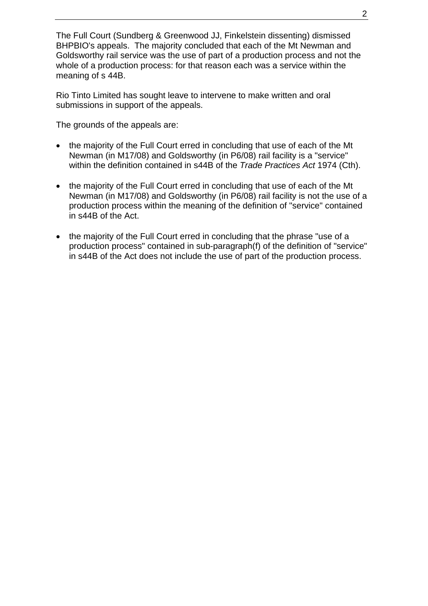The Full Court (Sundberg & Greenwood JJ, Finkelstein dissenting) dismissed BHPBIO's appeals. The majority concluded that each of the Mt Newman and Goldsworthy rail service was the use of part of a production process and not the whole of a production process: for that reason each was a service within the meaning of s 44B.

Rio Tinto Limited has sought leave to intervene to make written and oral submissions in support of the appeals.

The grounds of the appeals are:

- the majority of the Full Court erred in concluding that use of each of the Mt Newman (in M17/08) and Goldsworthy (in P6/08) rail facility is a "service" within the definition contained in s44B of the *Trade Practices Act* 1974 (Cth).
- the majority of the Full Court erred in concluding that use of each of the Mt Newman (in M17/08) and Goldsworthy (in P6/08) rail facility is not the use of a production process within the meaning of the definition of "service" contained in s44B of the Act.
- the majority of the Full Court erred in concluding that the phrase "use of a production process" contained in sub-paragraph(f) of the definition of "service" in s44B of the Act does not include the use of part of the production process.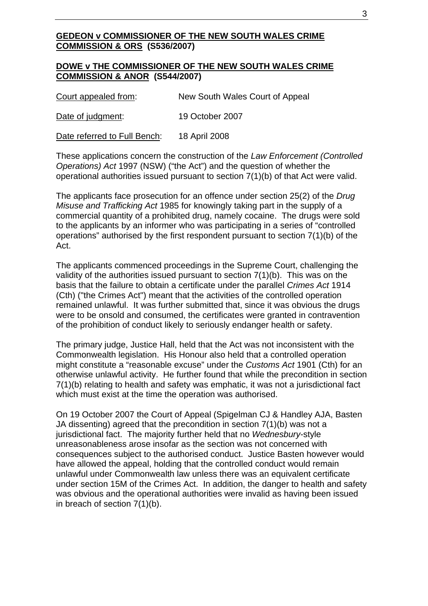#### **GEDEON v COMMISSIONER OF THE NEW SOUTH WALES CRIME COMMISSION & ORS (S536/2007)**

#### **DOWE v THE COMMISSIONER OF THE NEW SOUTH WALES CRIME COMMISSION & ANOR (S544/2007)**

Court appealed from: New South Wales Court of Appeal

Date of judgment: 19 October 2007

Date referred to Full Bench: 18 April 2008

These applications concern the construction of the *Law Enforcement (Controlled Operations) Act* 1997 (NSW) ("the Act") and the question of whether the operational authorities issued pursuant to section 7(1)(b) of that Act were valid.

The applicants face prosecution for an offence under section 25(2) of the *Drug Misuse and Trafficking Act* 1985 for knowingly taking part in the supply of a commercial quantity of a prohibited drug, namely cocaine. The drugs were sold to the applicants by an informer who was participating in a series of "controlled operations" authorised by the first respondent pursuant to section 7(1)(b) of the Act.

The applicants commenced proceedings in the Supreme Court, challenging the validity of the authorities issued pursuant to section 7(1)(b). This was on the basis that the failure to obtain a certificate under the parallel *Crimes Act* 1914 (Cth) ("the Crimes Act") meant that the activities of the controlled operation remained unlawful. It was further submitted that, since it was obvious the drugs were to be onsold and consumed, the certificates were granted in contravention of the prohibition of conduct likely to seriously endanger health or safety.

The primary judge, Justice Hall, held that the Act was not inconsistent with the Commonwealth legislation. His Honour also held that a controlled operation might constitute a "reasonable excuse" under the *Customs Act* 1901 (Cth) for an otherwise unlawful activity. He further found that while the precondition in section 7(1)(b) relating to health and safety was emphatic, it was not a jurisdictional fact which must exist at the time the operation was authorised.

On 19 October 2007 the Court of Appeal (Spigelman CJ & Handley AJA, Basten JA dissenting) agreed that the precondition in section 7(1)(b) was not a jurisdictional fact. The majority further held that no *Wednesbury*-style unreasonableness arose insofar as the section was not concerned with consequences subject to the authorised conduct. Justice Basten however would have allowed the appeal, holding that the controlled conduct would remain unlawful under Commonwealth law unless there was an equivalent certificate under section 15M of the Crimes Act. In addition, the danger to health and safety was obvious and the operational authorities were invalid as having been issued in breach of section 7(1)(b).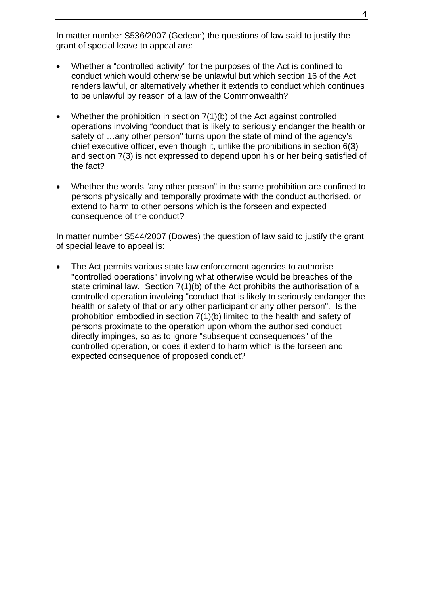In matter number S536/2007 (Gedeon) the questions of law said to justify the grant of special leave to appeal are:

- Whether a "controlled activity" for the purposes of the Act is confined to conduct which would otherwise be unlawful but which section 16 of the Act renders lawful, or alternatively whether it extends to conduct which continues to be unlawful by reason of a law of the Commonwealth?
- Whether the prohibition in section 7(1)(b) of the Act against controlled operations involving "conduct that is likely to seriously endanger the health or safety of …any other person" turns upon the state of mind of the agency's chief executive officer, even though it, unlike the prohibitions in section 6(3) and section 7(3) is not expressed to depend upon his or her being satisfied of the fact?
- Whether the words "any other person" in the same prohibition are confined to persons physically and temporally proximate with the conduct authorised, or extend to harm to other persons which is the forseen and expected consequence of the conduct?

In matter number S544/2007 (Dowes) the question of law said to justify the grant of special leave to appeal is:

The Act permits various state law enforcement agencies to authorise "controlled operations" involving what otherwise would be breaches of the state criminal law. Section 7(1)(b) of the Act prohibits the authorisation of a controlled operation involving "conduct that is likely to seriously endanger the health or safety of that or any other participant or any other person". Is the prohobition embodied in section 7(1)(b) limited to the health and safety of persons proximate to the operation upon whom the authorised conduct directly impinges, so as to ignore "subsequent consequences" of the controlled operation, or does it extend to harm which is the forseen and expected consequence of proposed conduct?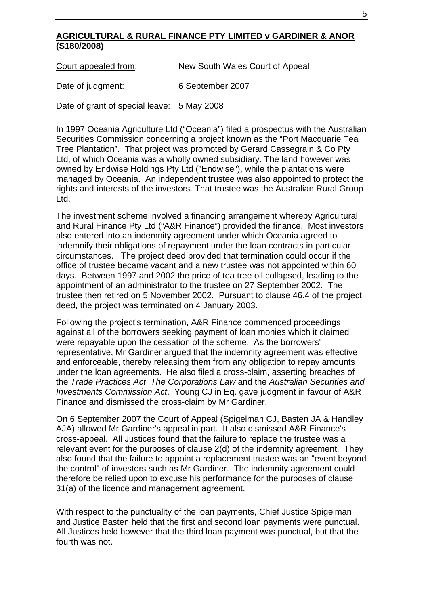## **AGRICULTURAL & RURAL FINANCE PTY LIMITED v GARDINER & ANOR (S180/2008)**

Court appealed from: New South Wales Court of Appeal

Date of judgment: 6 September 2007

Date of grant of special leave: 5 May 2008

In 1997 Oceania Agriculture Ltd ("Oceania") filed a prospectus with the Australian Securities Commission concerning a project known as the "Port Macquarie Tea Tree Plantation". That project was promoted by Gerard Cassegrain & Co Pty Ltd, of which Oceania was a wholly owned subsidiary. The land however was owned by Endwise Holdings Pty Ltd ("Endwise"), while the plantations were managed by Oceania. An independent trustee was also appointed to protect the rights and interests of the investors. That trustee was the Australian Rural Group Ltd.

The investment scheme involved a financing arrangement whereby Agricultural and Rural Finance Pty Ltd ("A&R Finance") provided the finance. Most investors also entered into an indemnity agreement under which Oceania agreed to indemnify their obligations of repayment under the loan contracts in particular circumstances. The project deed provided that termination could occur if the office of trustee became vacant and a new trustee was not appointed within 60 days. Between 1997 and 2002 the price of tea tree oil collapsed, leading to the appointment of an administrator to the trustee on 27 September 2002. The trustee then retired on 5 November 2002. Pursuant to clause 46.4 of the project deed, the project was terminated on 4 January 2003.

Following the project's termination, A&R Finance commenced proceedings against all of the borrowers seeking payment of loan monies which it claimed were repayable upon the cessation of the scheme. As the borrowers' representative, Mr Gardiner argued that the indemnity agreement was effective and enforceable, thereby releasing them from any obligation to repay amounts under the loan agreements. He also filed a cross-claim, asserting breaches of the *Trade Practices Act*, *The Corporations Law* and the *Australian Securities and Investments Commission Act*. Young CJ in Eq. gave judgment in favour of A&R Finance and dismissed the cross-claim by Mr Gardiner.

On 6 September 2007 the Court of Appeal (Spigelman CJ, Basten JA & Handley AJA) allowed Mr Gardiner's appeal in part. It also dismissed A&R Finance's cross-appeal. All Justices found that the failure to replace the trustee was a relevant event for the purposes of clause 2(d) of the indemnity agreement. They also found that the failure to appoint a replacement trustee was an "event beyond the control" of investors such as Mr Gardiner. The indemnity agreement could therefore be relied upon to excuse his performance for the purposes of clause 31(a) of the licence and management agreement.

With respect to the punctuality of the loan payments, Chief Justice Spigelman and Justice Basten held that the first and second loan payments were punctual. All Justices held however that the third loan payment was punctual, but that the fourth was not.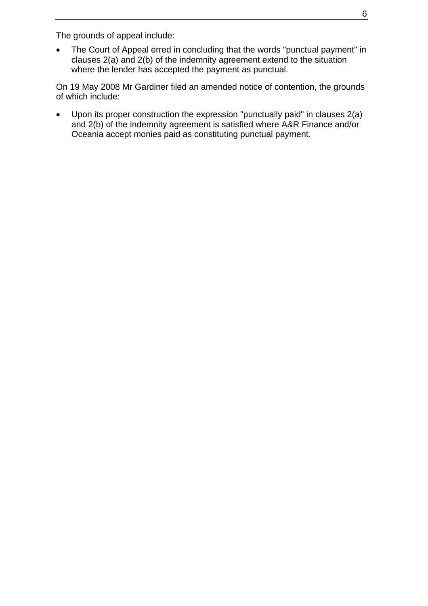The grounds of appeal include:

• The Court of Appeal erred in concluding that the words "punctual payment" in clauses 2(a) and 2(b) of the indemnity agreement extend to the situation where the lender has accepted the payment as punctual.

On 19 May 2008 Mr Gardiner filed an amended notice of contention, the grounds of which include:

• Upon its proper construction the expression "punctually paid" in clauses 2(a) and 2(b) of the indemnity agreement is satisfied where A&R Finance and/or Oceania accept monies paid as constituting punctual payment.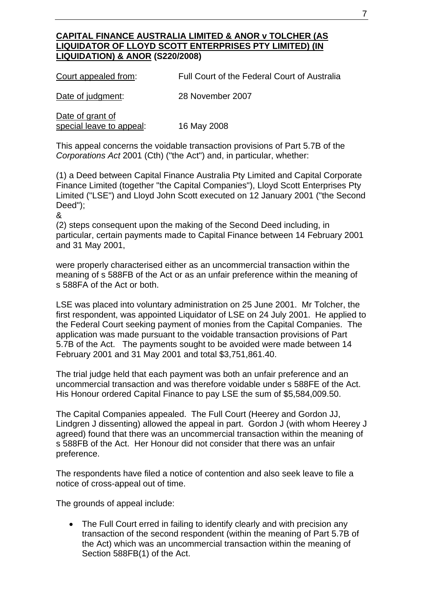## **CAPITAL FINANCE AUSTRALIA LIMITED & ANOR v TOLCHER (AS LIQUIDATOR OF LLOYD SCOTT ENTERPRISES PTY LIMITED) (IN LIQUIDATION) & ANOR (S220/2008)**

Court appealed from: Full Court of the Federal Court of Australia

Date of judgment: 28 November 2007

Date of grant of special leave to appeal: 16 May 2008

This appeal concerns the voidable transaction provisions of Part 5.7B of the *Corporations Act* 2001 (Cth) ("the Act") and, in particular, whether:

(1) a Deed between Capital Finance Australia Pty Limited and Capital Corporate Finance Limited (together "the Capital Companies"), Lloyd Scott Enterprises Pty Limited ("LSE") and Lloyd John Scott executed on 12 January 2001 ("the Second Deed");

#### &

(2) steps consequent upon the making of the Second Deed including, in particular, certain payments made to Capital Finance between 14 February 2001 and 31 May 2001,

were properly characterised either as an uncommercial transaction within the meaning of s 588FB of the Act or as an unfair preference within the meaning of s 588FA of the Act or both.

LSE was placed into voluntary administration on 25 June 2001. Mr Tolcher, the first respondent, was appointed Liquidator of LSE on 24 July 2001. He applied to the Federal Court seeking payment of monies from the Capital Companies. The application was made pursuant to the voidable transaction provisions of Part 5.7B of the Act.The payments sought to be avoided were made between 14 February 2001 and 31 May 2001 and total \$3,751,861.40.

The trial judge held that each payment was both an unfair preference and an uncommercial transaction and was therefore voidable under s 588FE of the Act. His Honour ordered Capital Finance to pay LSE the sum of \$5,584,009.50.

The Capital Companies appealed. The Full Court (Heerey and Gordon JJ, Lindgren J dissenting) allowed the appeal in part. Gordon J (with whom Heerey J agreed) found that there was an uncommercial transaction within the meaning of s 588FB of the Act. Her Honour did not consider that there was an unfair preference.

The respondents have filed a notice of contention and also seek leave to file a notice of cross-appeal out of time.

The grounds of appeal include:

• The Full Court erred in failing to identify clearly and with precision any transaction of the second respondent (within the meaning of Part 5.7B of the Act) which was an uncommercial transaction within the meaning of Section 588FB(1) of the Act.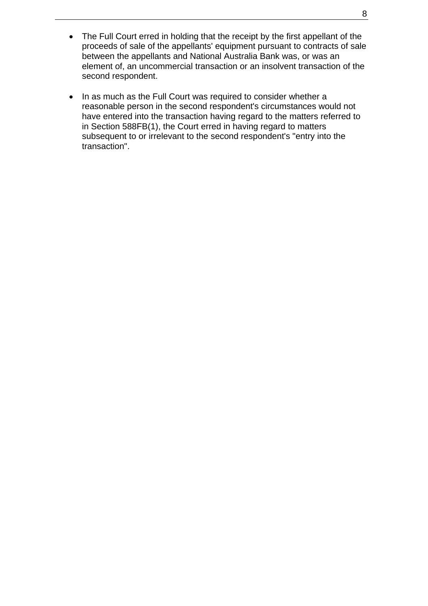- The Full Court erred in holding that the receipt by the first appellant of the proceeds of sale of the appellants' equipment pursuant to contracts of sale between the appellants and National Australia Bank was, or was an element of, an uncommercial transaction or an insolvent transaction of the second respondent.
- In as much as the Full Court was required to consider whether a reasonable person in the second respondent's circumstances would not have entered into the transaction having regard to the matters referred to in Section 588FB(1), the Court erred in having regard to matters subsequent to or irrelevant to the second respondent's "entry into the transaction".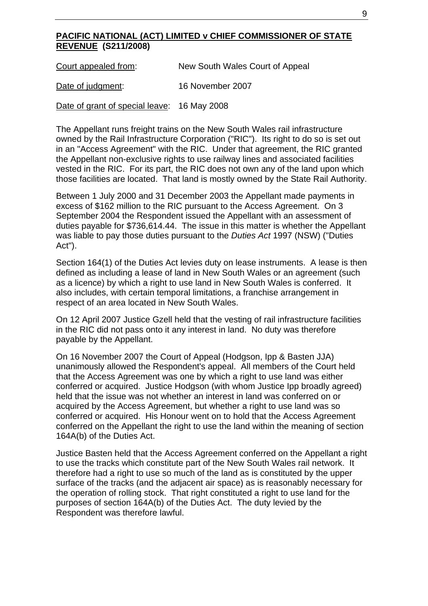## **PACIFIC NATIONAL (ACT) LIMITED v CHIEF COMMISSIONER OF STATE REVENUE (S211/2008)**

Court appealed from: New South Wales Court of Appeal

Date of judgment: 16 November 2007

Date of grant of special leave: 16 May 2008

The Appellant runs freight trains on the New South Wales rail infrastructure owned by the Rail Infrastructure Corporation ("RIC"). Its right to do so is set out in an "Access Agreement" with the RIC. Under that agreement, the RIC granted the Appellant non-exclusive rights to use railway lines and associated facilities vested in the RIC. For its part, the RIC does not own any of the land upon which those facilities are located. That land is mostly owned by the State Rail Authority.

Between 1 July 2000 and 31 December 2003 the Appellant made payments in excess of \$162 million to the RIC pursuant to the Access Agreement. On 3 September 2004 the Respondent issued the Appellant with an assessment of duties payable for \$736,614.44. The issue in this matter is whether the Appellant was liable to pay those duties pursuant to the *Duties Act* 1997 (NSW) ("Duties Act").

Section 164(1) of the Duties Act levies duty on lease instruments. A lease is then defined as including a lease of land in New South Wales or an agreement (such as a licence) by which a right to use land in New South Wales is conferred. It also includes, with certain temporal limitations, a franchise arrangement in respect of an area located in New South Wales.

On 12 April 2007 Justice Gzell held that the vesting of rail infrastructure facilities in the RIC did not pass onto it any interest in land. No duty was therefore payable by the Appellant.

On 16 November 2007 the Court of Appeal (Hodgson, Ipp & Basten JJA) unanimously allowed the Respondent's appeal. All members of the Court held that the Access Agreement was one by which a right to use land was either conferred or acquired. Justice Hodgson (with whom Justice Ipp broadly agreed) held that the issue was not whether an interest in land was conferred on or acquired by the Access Agreement, but whether a right to use land was so conferred or acquired. His Honour went on to hold that the Access Agreement conferred on the Appellant the right to use the land within the meaning of section 164A(b) of the Duties Act.

Justice Basten held that the Access Agreement conferred on the Appellant a right to use the tracks which constitute part of the New South Wales rail network. It therefore had a right to use so much of the land as is constituted by the upper surface of the tracks (and the adjacent air space) as is reasonably necessary for the operation of rolling stock. That right constituted a right to use land for the purposes of section 164A(b) of the Duties Act. The duty levied by the Respondent was therefore lawful.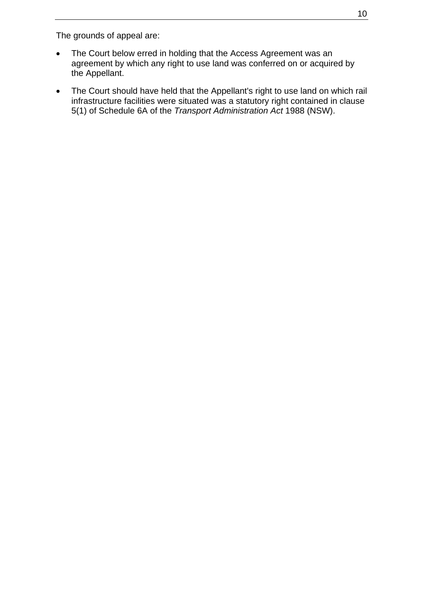The grounds of appeal are:

- The Court below erred in holding that the Access Agreement was an agreement by which any right to use land was conferred on or acquired by the Appellant.
- The Court should have held that the Appellant's right to use land on which rail infrastructure facilities were situated was a statutory right contained in clause 5(1) of Schedule 6A of the *Transport Administration Act* 1988 (NSW).